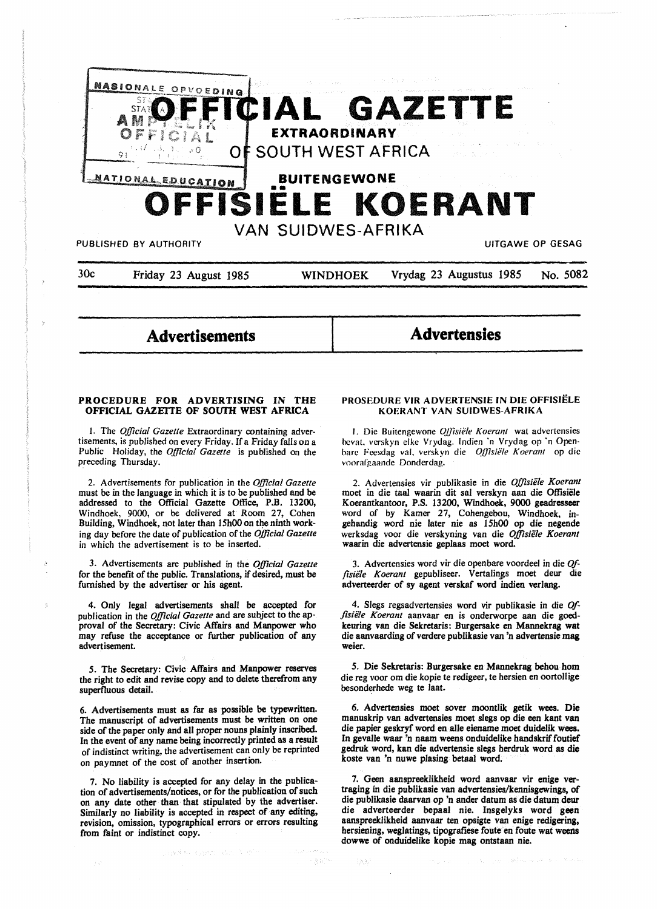

30c Friday 23 August 1985 WINDHOEK Vrydag 23 Augustus 1985 No. 5082

**Advertisements** 

**Advertensies** 

### **PROCEDURE FOR ADVERTISING IN THE OFFICIAL GAZETTE OF SOUTH WEST AFRICA**

I. The *Official Gazette* Extraordinary containing advertisements, is published on every Friday. If a Friday falls on a Public Holiday, the *Official Gazette* is published on the preceding Thursday.

2. Advertisements for publication in the *Official Gazette*  must be in the language in which it is to be published and be addressed to the Official Gazette Office, P.B. 13200, Windhoek, 9000, or be delivered at Room 27, Cohen Building, Windhoek, not later than 15h00 on the ninth working day before the date of publication of the *Official Gazette*  in which the advertisement is to be inserted.

3. Advertisements are published in the *Official Gazette*  for the benefit of the public. Translations, if desired, must be furnished by the advertiser or his agent.

4. Only legal advertisements shall be accepted for publication in the *Official Gazette* and are subject to the approval of the Secretary: Civic Affairs and Manpower who may refuse the acceptance or further publication of any advertisement.

*5.* The Secretary: Civic Affairs and Manpower reserves the right to edit and revise copy and to delete therefrom any superfluous detail.

6. Advertisements must as far as possible be typewritten. The manuscript of advertisements must be written on one side of the paper only and all proper nouns plainly inscribed. In the event of any name being incorrectly printed **as a** result of indistinct writing, the advertisement can only be reprinted on paymnet of the cost of another insertion.

7. No liability is accepted for any delay in the publication of advertisements/notices, or for the publication of such on any date other than that stipulated by the advertiser. Similarly no liability is accepted in respect of any editing, revision, omission, typographical errors or errors resulting from faint or indistinct copy.

Jané sa Kabistania (1960)

### **PROSEDURE VIR ADVERTENSIE IN DIE OFFISIELE KOERANT VAN SUIDWES-AFRIKA**

I. Die Buitengewone *Oj]lsii!le Koerant* wat advertensies hcval. verskyn elke Vrydag. lndien ·n Vrydag op ·n Openbare Feesdag val. verskyn die *Offisiële Koerant* op die voorafgaande Donderdag.

2. Advertensies vir publikasie in die Offisiële Koerant moet in die taal waarin dit sal verskyn aan die Offisiele Koerantkantoor, P.S. 13200, Windhoek, 9000 geadresseer word of by Kamer 27, Cohengebou, Windhoek, ingehandig word nie later nie as 15h00 op die negende werksdag voor die verskyning van die *Offisiele Koerant*  waarin die advertensie geplaas moet word.

3. Advertensies word vir die openbare voordeel in die *Of*fisiële Koerant gepubliseer. Vertalings moet deur die adverteerder of sy agent verskaf word indien verlang.

4. Slegs regsadvertensies word vir publikasie in die *Offisii!le Koerant* aanvaar en is onderworpe aan die goedkeuring van die Sekretaris: Burgersake en Mannekrag wat die aanvaarding of verdere publikasie van 'n advertensie mag weier.

*5.* Die Sekretaris: Burgersake en Mannekrag behou hom die reg voor om die kopie te redigeer, te hersien en oortollige besonderhede weg te laat.

6. Advertensies moet sover moontlik getik wees. Die manuskrip van advertensies moet slegs op die een kant van die papier geskryf word en alle eiename moet duidelik wees. In gevalle waar 'n naam weens onduidelike handskrif foutief gedruk word, kan die advertensie slegs herdruk word as die koste van 'n nuwe plasing betaal word.

7. Geen aanspreeklikheid word aanvaar vir enige vertraging in die publikasie van advertensies/kennisgewings, of die publikasie daarvan op 'n ander datum as die datum deur die adverteerder bepaal nie. lnsgelyks word geen aanspreeklikheid aanvaar ten opsigte van enige redigering, hersiening, weglatings, tipografiese foute en foute wat weens dowwe of onduidelike kopie mag ontstaan nie.

缺点

 $\chi=(\chi_{\rm{tot}}-\chi_{\rm{M}})$  , 30Å cd (cd) of (  $\chi_{\rm{tot}}=5$  ) of the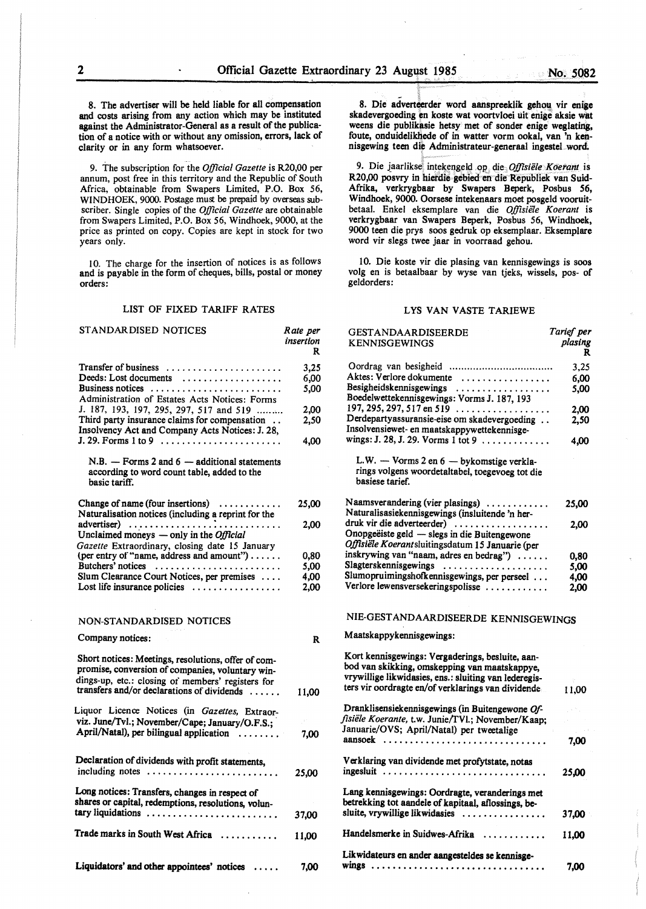8. The advertiser will be held liable for all compensation and costs **arising** from any action which may be instituted against the Administrator-General as a result of the publication of a notice with or without any omission, errors, lack of clarity or in any form whatsoever.

9. The subscription for the *Official Gazette* is R20,00 per annum, post free in this territory and the Republic of South Africa, obtainable from Swapers Limited, P.O. Box 56, WINDHOEK, 9000. Postage must be prepaid by overseas subscriber. Single copies of the *Official Gazette* are obtainable from Swapers Limited, P.O. Box 56, Windhoek, 9000, at the price as printed on copy. Copies are kept in stock for two years only.

10. The charge for the insertion of notices is as follows and is payable in the form of cheques, bills, postal or money orders:

### LIST OF FIXED TARIFF RATES

| STANDAR DISED NOTICES                                                                                            | Rate per<br>insertion<br>R |
|------------------------------------------------------------------------------------------------------------------|----------------------------|
| Transfer of business                                                                                             | 3,25                       |
| Deeds: Lost documents                                                                                            | 6,00                       |
| Business notices                                                                                                 | 5,00                       |
| Administration of Estates Acts Notices: Forms                                                                    |                            |
| J. 187, 193, 197, 295, 297, 517 and 519                                                                          | 2,00                       |
| Third party insurance claims for compensation<br>Insolvency Act and Company Acts Notices: J. 28,                 | 2,50                       |
|                                                                                                                  | 4,00                       |
| $N.B. -$ Forms 2 and 6 $-$ additional statements<br>according to word count table, added to the<br>basic tariff. |                            |
| Change of name (four insertions) $\dots\dots\dots\dots$                                                          | 25,00                      |
| Naturalisation notices (including a reprint for the                                                              |                            |
| advertiser)                                                                                                      | 2,00                       |
| Unclaimed moneys $-$ only in the <i>Official</i>                                                                 |                            |
| Gazette Extraordinary, closing date 15 January<br>(per entry of "name, address and amount")                      |                            |
|                                                                                                                  | 0,80                       |
| Butchers' notices                                                                                                | 5,00                       |
| Slum Clearance Court Notices, per premises                                                                       | 4.00                       |
| Lost life insurance policies                                                                                     | 2.00                       |
| NON-STANDARDISED NOTICES                                                                                         |                            |
| Company notices:                                                                                                 | R                          |
| Short notices: Meetings, resolutions, offer of com-                                                              |                            |
| promise, conversion of companies, voluntary win-                                                                 |                            |
| dings-up, etc.: closing of members' registers for                                                                |                            |
| transfers and/or declarations of dividends                                                                       | 11,00                      |
| Liquor Licence Notices (in Gazettes, Extraor-                                                                    |                            |
| viz. June/Tvl.; November/Cape; January/O.F.S.;                                                                   |                            |
| April/Natal), per bilingual application<br>. <i>.</i>                                                            | 7,00                       |
| Declaration of dividends with profit statements,                                                                 |                            |
| including notes                                                                                                  | 25,00                      |
| Long notices: Transfers, changes in respect of                                                                   |                            |
| shares or capital, redemptions, resolutions, volun-                                                              |                            |
| tary liquidations                                                                                                | 37,00                      |
| Trade marks in South West Africa                                                                                 | 11.00                      |
|                                                                                                                  |                            |
| Liquidators' and other appointees' notices                                                                       | 7,00                       |

8. Die adverteerder word aanspreeklik gehou vir enige skadevergoeding en koste wat voortvloei uit enige aksie wat weens die publikasie hetsy met of sonder **enige** weglating, foute, onduidelikhede of in watter vorm ookal, van 'n kennisgewing teen die Administrateur-generaal ingestel word.

9. Die jaarlikse intekengeld op die *Offisiële Koerant* is R20,00 posvry in hietdie gebied en die Republiek van Suid-Afrika, verkrygbaar by Swapers Beperk, Posbus *56,*  Windhoek, 9000. Oorsese intekenaars moet posgeld vooruitbetaal. Enke! eksemplare van die *Offisie1e Koerant* is verkrygbaar van Swapers Beperk, Posbus 56, Windhoek, 9000 teen die prys soos gedruk op eksemplaar. Eksemplare word vir slegs twee jaar in voorraad gehou.

10. Die koste vir die plasing van kennisgewings is **soos**  volg en is betaalbaar by wyse van tjeks, wissels, pos- of geldorders:

### LYS VAN VASTE TARIEWE

| <b>GESTANDAARDISEERDE</b><br><b>KENNISGEWINGS</b>                                                                                                                                                                | Tarief per<br>plasing<br>R |
|------------------------------------------------------------------------------------------------------------------------------------------------------------------------------------------------------------------|----------------------------|
|                                                                                                                                                                                                                  | 3,25                       |
| Aktes: Verlore dokumente                                                                                                                                                                                         | 6.00                       |
| Besigheidskennisgewings<br>Boedelwettekennisgewings: Vorms J. 187, 193                                                                                                                                           | 5,00                       |
| $197, 295, 297, 517$ en $519$                                                                                                                                                                                    | 2.00                       |
| Derdepartyassuransie-eise om skadevergoeding<br>Insolvensiewet- en maatskappywettekennisge-                                                                                                                      | 2,50                       |
| wings: J. 28, J. 29. Vorms 1 tot 9                                                                                                                                                                               | 4,00                       |
| L.W. - Vorms 2 en 6 - bykomstige verkla-<br>rings volgens woordetaltabel, toegevoeg tot die<br>basiese tarief.                                                                                                   |                            |
| Naamsverandering (vier plasings)<br>Naturalisasiekennisgewings (insluitende 'n her-                                                                                                                              | 25,00                      |
| druk vir die adverteerder)<br>Onopgeëiste geld — slegs in die Buitengewone<br>Offisiële Koerantsluitingsdatum 15 Januarie (per                                                                                   | 2,00                       |
| inskrywing van "naam, adres en bedrag")                                                                                                                                                                          | 0.80                       |
| Slagterskennisgewings                                                                                                                                                                                            | 5.00                       |
| Slumopruimingshofkennisgewings, per perseel                                                                                                                                                                      | 4,00                       |
| Verlore lewensversekeringspolisse                                                                                                                                                                                | 2.00                       |
| NIE-GESTANDAARDISEERDE KENNISGEWINGS                                                                                                                                                                             |                            |
| Maatskappykennisgewings:                                                                                                                                                                                         |                            |
| Kort kennisgewings: Vergaderings, besluite, aan-<br>bod van skikking, omskepping van maatskappye,<br>vrywillige likwidasies, ens.: sluiting van lederegis-<br>ters vir oordragte en/of verklarings van dividende | 11,00                      |
| Dranklisensiekennisgewings (in Buitengewone Of-                                                                                                                                                                  |                            |
| fisiële Koerante, t.w. Junie/TVl.; November/Kaap;<br>Januarie/OVS; April/Natal) per tweetalige                                                                                                                   |                            |
| aansoek                                                                                                                                                                                                          | 7.00                       |
| Verklaring van dividende met profytstate, notas<br>ingesluit                                                                                                                                                     | 25.00                      |
| Lang kennisgewings: Oordragte, veranderings met<br>betrekking tot aandele of kapitaal, aflossings, be-<br>sluite, vrywillige likwidasies                                                                         | 37,00                      |
| Handelsmerke in Suidwes-Afrika                                                                                                                                                                                   | 11,00                      |
| Likwidateurs en ander aangesteldes se kennisge-                                                                                                                                                                  |                            |
|                                                                                                                                                                                                                  | 7.00                       |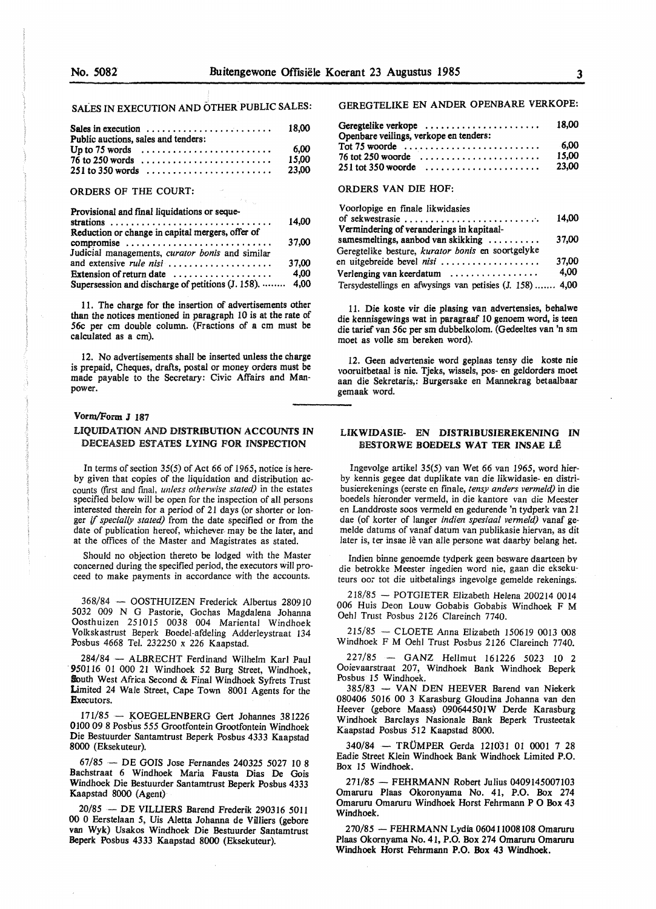# SALES IN EXECUTION AND OTHER PUBLIC SALES:

| Public auctions, sales and tenders:                                 |       |
|---------------------------------------------------------------------|-------|
| Up to 75 words $\dots\dots\dots\dots\dots\dots\dots\dots\dots\dots$ | 6.00  |
| $76$ to 250 words $\dots \dots \dots \dots \dots \dots \dots \dots$ | 15.00 |
| $251$ to 350 words                                                  | 23.00 |

### ORDERS OF THE COURT:

| Provisional and final liquidations or seque-            |       |
|---------------------------------------------------------|-------|
|                                                         | 14.00 |
| Reduction or change in capital mergers, offer of        |       |
| compromise                                              | 37,00 |
| Judicial managements, curator bonis and similar         |       |
|                                                         | 37,00 |
| Extension of return date                                | 4.00  |
| Supersession and discharge of petitions (J. 158).  4,00 |       |

 $\left\langle \hat{r}_{\rm{in}}\right\rangle _{\rm{in}}$ 

11. The charge for the insertion of advertisements other than the notices mentioned in paragraph 10 is at the rate of *56c* per cm double column. (Fractions of a cm must be calculated as a cm).

12. No advertisements shall be inserted unless the charge is prepaid, Cheques, drafts, postal or money orders must be made payable to the Secretary: Civic Affairs and Manpower.

### **Vorm/Form J 187**

# LIQUIDATION AND **DISTRIBUTION ACCOUNTS IN**  DECEASED ESTATES **LYING FOR INSPECTION**

In terms of section  $35(5)$  of Act 66 of 1965, notice is hereby given that copies of the liquidation and distribution accounts (first and fmal, *unless othenvise stated)* in the estates specified below will be open for the inspection of all persons interested therein for a period of 21 days (or shorter or longer if *specially stated)* from the date specified or from the date of publication hereof, whichever- may be the later, and at the offices of the Master and Magistrates as stated.

Should no objection thereto be lodged with the Master concerned during the specified period, the executors will proceed to make payments in accordance with the accounts.

368/84 - OOSTHUIZEN Frederick Albertus 2809 IO 5032 009 N G Pastorie, Gochas Magdalena Johanna Oosthuizen 251015 0038 004 Mariental Windhoek Volkskastrust Beperk Boedel-afdeling Adderleystraat 134 Posbus 4668 Tel. 232250 x 226 Kaapstad.

284/84 - ALBRECHT Ferdinand Wilhelm Karl Paul . 950116 01 000 21 Windhoek 52 Burg Street, Windhoek, South West Africa Second & Final Windhoek Syfrets Trust Limited 24 Wale Street, Cape Town 8001 Agents for the Executors.

171/85 - KOEGELENBERG Gert Johannes 381226 0100 09 8 Posbus 555 Grootfontein Grootfontein Windhoek **Die** Bestuurder Santamtrust Beperk Posbus 4333 Kaapstad **8000** (Eksekuteur).

67/85 - DE GOIS Jose Fernandes 240325 5027 10 8 Bachstraat 6 Windhoek Maria Fausta Dias De Gois Windhoek Die Bestuurder Santamtrust Beperk Posbus 4333 Kaapstad 8000 (Agent)

20/85 - DE VILLIERS Barend Frederik 290316 50ll 00 0 Eerstelaan 5, Uis Aletta Johanna de Villiers (gebore van Wyk) Usakos Windhoek Die Bestuurder Santamtrust Beperk Posbus 4333 Kaapstad 8000 (Eksekuteur).

### GEREGTELIKE EN ANDER OPENBARE VERKOPE:

| Geregtelike verkope<br>Openbare veilings, verkope en tenders: | 18.00          |
|---------------------------------------------------------------|----------------|
|                                                               | -6.00<br>15.00 |
| $76$ tot 250 woorde<br>$251$ tot 350 woorde                   | 23.00          |

# ORDERS VAN DIE HOF:

| Voorlopige en finale likwidasies                                          |       |
|---------------------------------------------------------------------------|-------|
| of sekwestrasie $\ldots \ldots \ldots \ldots \ldots \ldots \ldots \ldots$ | 14.00 |
| Vermindering of veranderings in kapitaal-                                 |       |
| samesmeltings, aanbod van skikking                                        | 37.00 |
| Geregtelike besture, kurator bonis en soortgelyke                         |       |
| en uitgebreide bevel nisi                                                 | 37.00 |
| Verlenging van keerdatum $\dots\dots\dots\dots\dots\dots$                 | 4.00  |
| Tersydestellings en afwysings van petisies (J. 158)  4,00                 |       |

11. Die koste vir die plasing van advertensies, behalwe die kennisgewings wat in paragraaf 10 genoem word, is teen die tarief van *56c* per sm dubbelkolom. (Gedeeltes van 'n sm **moet as volle sm bereken word).** 

12. Geen advertensie word geplaas tensy die koste nie vooruitbetaal is nie. Tjeks, wissels, pos- en geldorders moet aan die Sekretaris,: Burgersake en Mannekrag betaalbaar **gemaak** word.

### **LIKWIDASIE- EN DISTRIBUSIEREKENING IN BESTORWE BOEDELS WAT TER INSAE LE**

Ingevolge artikel 35(5) van Wet 66 van 1965, word hierby kennis gegee dat duplikate van die likwidasie- en distribusierekenings (eerste en fmale, *tensy anders vermeld)* in die boedels hieronder vermeld, in die kantore van die Meester en Landdroste soos vermeld en gedurende 'n tydperk van 21 dae (of korter of langer *indien spesiaal vermeld)* vanaf gemelde datums of vanaf datum van publikasie hiervan, as dit later is, ter insae lê van alle persone wat daarby belang het.

Indien binne genoemde tydperk geen besware daarteen bv die betrokke Meester ingedien word nie, gaan die eksekuteurs oor tot die uitbetalings ingevolge gemelde rekenings.

218/85 - POTGIETER Elizabeth Helena 200214 0014 006 Huis Deon Louw Gobabis Gobabis Windhoek F **M**  Oehl Trust Posbus 2126 Clareinch 7740.

215/85 - CLOETE Anna Elizabeth 150619 0013 008 Windhoek F **M** Oehl Trust Posbus 2126 Clareinch 7740.

227/85 - **GANZ** Hellmut 161226 5023 10 2 Ooievaarstraat 207, Windhoek Bank Windhoek Beperk Posbus 15 Windhoek.

385/83 - VAN DEN HEEVER Barend van Niekerk 080406 5016 00 3 Karasburg Gloudina Johanna van den Heever (gebore Maass} 090644501W Derde Karasburg Windhoek Barclays Nasionale Bank Beperk Trusteetak Kaapstad Posbus 512 Kaapstad 8000.

340/84 - TRÜMPER Gerda 121031 01 0001 7 28 Eadie Street Klein Windhoek Bank Windhoek Limited P.O. Box 15 Windhoek.

271/85 - FEHRMANN Robert Julius 0409145007103 Omaruru Plaas Okoronyama No. 41, P.O. Box 274 Omaruru Omaruru Windhoek Horst Fehrmann P O Box 43 **Windhoek.** 

270/85 - FEHRMANN Lydia 060411008108 Omaruru **Plaas Okornyama No. 41, P.O. Box 274 Omaruru Omaruru**  Windhoek Horst Fehrmann P.O. Box 43 Windhoek.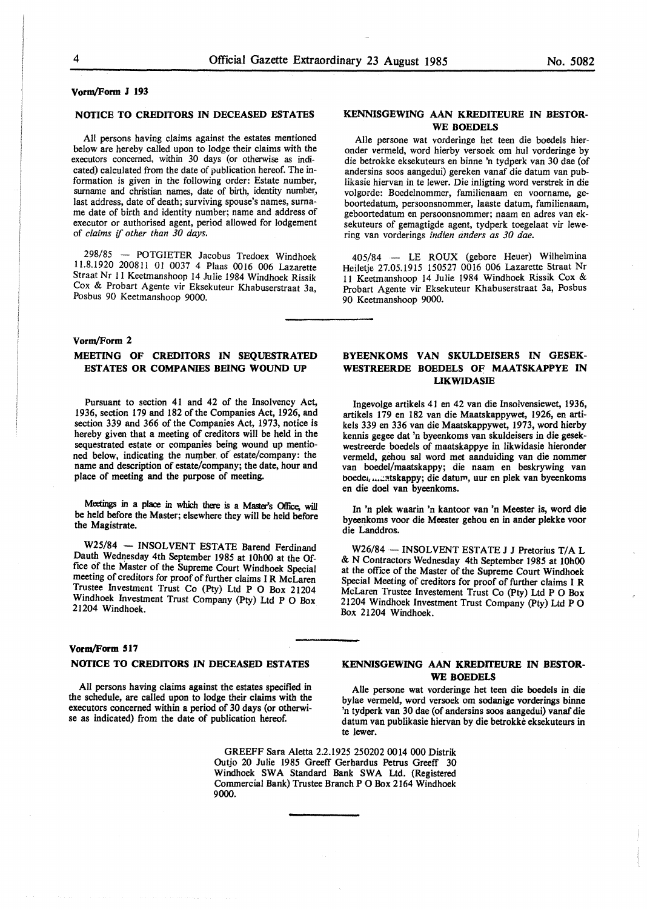### **Vorm/Form** *1* **193**

### **NOTICE TO CREDITORS IN DECEASED ESTATES**

All persons having claims against the estates mentioned below are hereby called upon to lodge their claims with the executors concerned, within 30 days (or otherwise as indicated) calculated from the date of publication hereof. The information is given in the following order: Estate number, surname and christian names, date of birth, identity number, last address, date of death; surviving spouse's names, surname date of birth and identity number; name and address of executor or authorised agent, period allowed for lodgement of *claims* if *other than 30 days.* 

298/85 - POTGIETER Jacobus Tredoex Windhoek 11.8.1920 200811 01 0037 4 Plaas 0016 006 Lazarette Straat Nr 11 Keetmanshoop 14 Julie 1984 Windhoek Rissik Cox & Probart Agente vir Eksekuteur Khabuserstraat 3a, Posbus 90 Keetmanshoop 9000.

### **Vorm/Form 2**

# **MEETING OF CREDITORS IN SEQUESTRATED ESTATES OR COMPANIES BEING WOUND UP**

Pursuant to section 41 and 42 of the Insolvency Act, 1936, section 179 and 182 of the Companies Act, 1926, and section 339 and 366 of the Companies Act, 1973, notice is hereby given that a meeting of creditors will be held in the sequestrated estate or companies being wound up mentioned below, indicating the number of estate/company: the name and description of estate/company; the date, hour and place of meeting and the purpose of meeting.

Meetings in a place in which there is a Master's Office, will be held before the Master; elsewhere they will be held before the Magistrate.

W25/84 - INSOLVENT ESTATE Barend Ferdinand Dauth Wednesday 4th September 1985 at 10h00 at the Office of the Master of the Supreme Court Windhoek Special meeting of creditors for proof of further claims I **R** McLaren Trustee Investment Trust Co (Pty) Ltd P O Box 21204 Windhoek Investment Trust Company (Pty) Ltd P O Box 21204 Windhoek.

### **Vorm/Form 517**

# **NOTICE TO CREDITORS IN DECEASED ESTATES**

All persons having claims against the estates specified in the schedule, are called upon to lodge their claims with the executors concerned within a period of 30 days (or otherwise as indicated) from the date of publication hereof.

### **KENNISGEWING AAN KREDITEURE IN BESTOR-WE BOEDELS**

Aile persone wat vorderinge het teen die boedels hieronder vermeld, word hierby versoek om hul vorderinge by die betrokke eksekuteurs en binne 'n tydperk van 30 dae (of andersins soos aangedui) gereken vanaf die datum van publikasie hiervan in te lewer. Die inligting word verstrek in die volgorde: Boedelnommer, familienaam en voorname, geboortedatum, persoonsnommer, laaste datum, familienaam, geboortedatum en persoonsnommer; naam en adres van eksekuteurs of gemagtigde agent, tydperk toegelaat vir lewering van vorderings *indien anders as 30 dae.* 

405/84 - LE ROUX (gebore Heuer) Wilhelmina Heiletje 27.05.1915 150527 0016 006 Lazarette Straat Nr 11 Keetmanshoop 14 Julie 1984 Windhoek Rissik Cox & Probart Agente vir Eksekuteur Khabuserstraat 3a, Posbus 90 Keetmanshoop 9000.

### **BYEENKOMS VAN SKULDEISERS IN GESEK-WESTREERDE BOEDELS OF MAATSKAPPYE IN LIKWIDASIB**

Ingevolge artikels 41 en 42 van die lnsolvensiewet, 1936, artikels 179 en 182 van die Maatskappywet, 1926, en artikels 339 en 336 van die Maatskappywet, 1973, word hierby kennis gegee dat 'n byeenkoms van skuldeisers in die gesekwestreerde boedels of maatskappye in likwidasie hieronder vermeld, gehou sal word met aanduiding van die nommer van boedel/maatskappy; die naam en beskrywing van boedei, ... .: atskappy; die daturn, uur en plek van byeenkoms en die doe! van byeenkoms.

In 'n plek waarin 'n kantoor van 'n Meester is, word die byeenkoms voor die Meester gehou en in ander plekke voor die Landdros.

W26/84 - INSOLVENT ESTATE J J Pretorius *TIA* L & N Contractors Wednesday 4th September 1985 at 10h00 at the office of the Master of the Supreme Court Windhoek Special Meeting of creditors for proof of further claims I R McLaren Trustee Investement Trust Co (Pty) Ltd P O Box 21204 Windhoek Investment Trust Company (Pty) Ltd P O Box 21204 Windhoek.

### **KENNISGEWING AAN KREDITEURE IN BESTOR-WE BOEDELS**

Aile persone wat vorderinge het teen die boedels in die bylae vermeld, word versoek om sodanige vorderings binne 'n tydperk van 30 dae (of andersins soos aangedui) vanaf die datum van publikasie hiervan by die betrokke eksekuteurs in te lewer.

GREEFF Sara Aletta 2.2.1925 250202 0014 000 Distrik Outjo 20 Julie 1985 Greeff Gerhardus Petrus Greeff 30 Windhoek SWA Standard Bank SWA Ltd. (Registered Commercial Bank) Trustee Branch PO Box 2164 Windhoek 9000.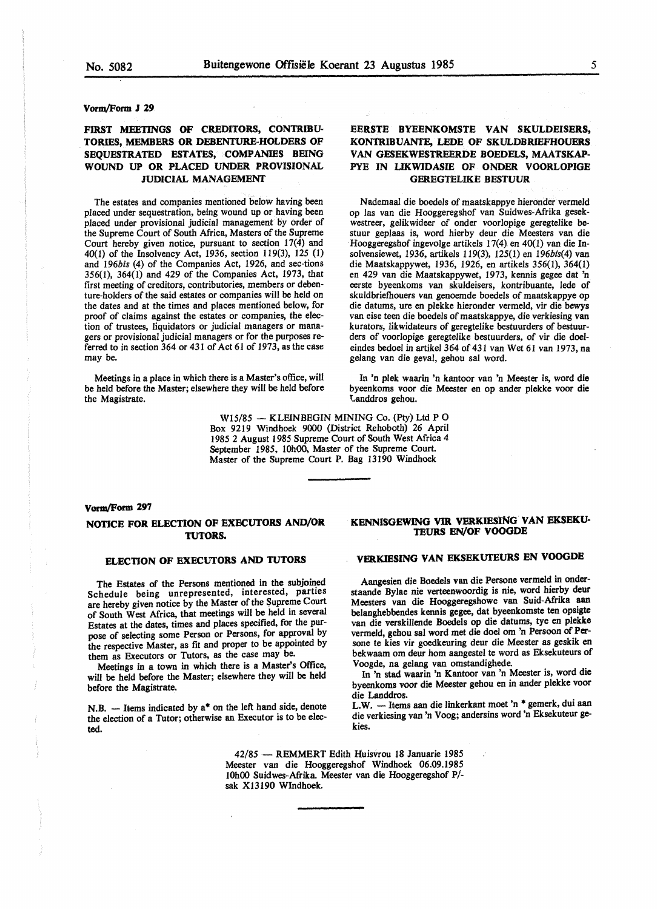### **Vorm/Form J 29**

# **FIRST MEETINGS OF CREDITORS, CONTRIBU-TORIES, MEMBERS OR DEBENTURE-HOLDERS OF SEQUESTRATED ESTATES, COMPANIES BEING WOUND UP OR PLACED UNDER PROVISIONAL JUDICIAL MANAGEMENT**

The estates and companies mentioned below having been placed under sequestration, being wound up or having been placed under provisional judicial management by order of the Supreme Court of South Africa, Masters of the Supreme Court hereby given notice, pursuant to section 17(4) and 40(1) of the Insolvency Act, 1936, section 119(3), 125 (1) and *l96bis* (4) of the Companies Act, 1926, and sec-tions 356(1), 364(1) and 429 of the Companies Act, 1973, that first meeting of creditors, contributories, members or debenture-holders of the said estates or companies will be held on the dates and at the times and places mentioned below, for proof of claims against the estates or companies, the election of trustees, liquidators or judicial managers or managers or provisional judicial managers or for the purposes referred to in section 364 or 431 of Act 61 of 1973, as the case may be.

Meetings in a place in which there is a Master's office, will be held before the Master; elsewhere they will be held before the Magistrate.

# **EERSTE BYEENKOMSTE VAN SKULDEISERS, KONTRIBUANTE, LEDE OF SKULDBRIEFHOUERS VAN GESEKWESTREERDE BOEDELS, MAATSKAP-**PYE IN **LIKWIDASIB OF ONDER VOORLOPIGE GEREGTELIKE BESTUUR**

Nademaal die boedels of maatskappye hieronder vermeld op las van die Hooggeregshof van Suidwes-Afrika gesekwestreer, gelikwideer of onder voorlopige geregtelike bestuur geplaas is, word hierby deur die Meesters van die Hooggeregshof ingevolge artikels 17(4). en 40(1) van die Insolvensiewet, 1936, artikels 119(3), 125{1) en *196bis(4)* van die Maatskappywet, 1936, 1926, en artikels 356(1), 364(1) en 429 van die Maatskappywet, 1973, kennis gegee dat 'n eerste byeenkoms van skuldeisers, kontribuante, lede of skuldbriefhouers van genoemde boedels of maatskappye op die datums, ure en plekke hieronder vermeld, vir die bewys van eise teen die boedels of maatskappye, die verkiesing **van**  kurators, likwidateurs of geregtelike bestuurders of bestuurders of voorlopige geregtelike bestuurders, of vir die doeleindes bedoel in artikel 364 of 431 van Wet 61 van 1973, na gelang van die geval, gehou sal word.

In 'n plek waarin 'n kantoor van 'n Meester is, word die byeenkoms voor die Meester en op ander plekke voor die t.anddros gehou.

W15/85 - KLEINBEGIN MINING Co. (Pty) Ltd P O Box 9219 Windhoek 9000 (District Rehoboth) 26 April 1985 2 August 1985 Supreme Court of South West Africa 4 September 1985, 10h00, Master of the Supreme Court. Master of the Supreme Court P. Bag 13190 Windhoek

# **Vonn/Form 297 NOTICE FOR ELECTION OF EXECUTORS AND/OR TUTORS.**

#### **ELECTION OF EXECUTORS AND TUTORS**

The Estates of the Persons mentioned in the subjoined Schedule being unrepresented, interested, parties are hereby given notice by the Master of the Supreme Court of South West Africa, that meetings will be held in several Estates at the dates, times and places specified, for the purpose of selecting some Person or Persons, for approval by the respective Master, as fit and proper to be appointed by them as Executors or Tutors, as the case may be.

Meetings in a town in which there is a Master's Office, will be held before the Master; elsewhere they will be held before the Magistrate.

 $N.B.$  - Items indicated by  $a^*$  on the left hand side, denote the election of a Tutor; otherwise an Executor is to be elected.

# **KENNISGEWING V1R VERKIBSING VAN EKSEKU-TEURS EN/OF VOOGDE**

### **VERKIESING VAN EKSEKUTEURS EN VOOGDE**

Aangesien die Boedels van die Persone vermeld in onderstaande Bylae nie verteenwoordig is nie, word hierby deur Meesters van die Hooggeregshowe van Suid-Afrika aan belanghebbendes kennis gegee, dat byeenkomste ten opsigte van die verskiUende Boedels op die datums, tye en plekke vermeld, gehou sal word met die doe! om 'n Persoon of Persone te kies vir goedkeuring deur die Meester as geskik en bekwaam om deur horn aangestel te word as Eksekuteurs of Voogde, na gelang van omstandighede.

In 'n stad waarin 'n Kantoor van 'n Meester is, word die byeenkoms voor die Meester gehou en in ander plekke voor die Landdros.

L.W. - Items aan die linkerkant moet 'n \* gemerk, dui aan die verkiesing van 'n Voog; andersins word 'n Eksekuteur gekies.

42/85 - REMMERT Edith Huisvrou 18 Januarie 1985 Meester van die Hooggeregshof Windhoek 06.09.1985 10h00 Suidwes-Afrika. Meester van die Hooggeregshof P/ sak XI3190 Windhoek.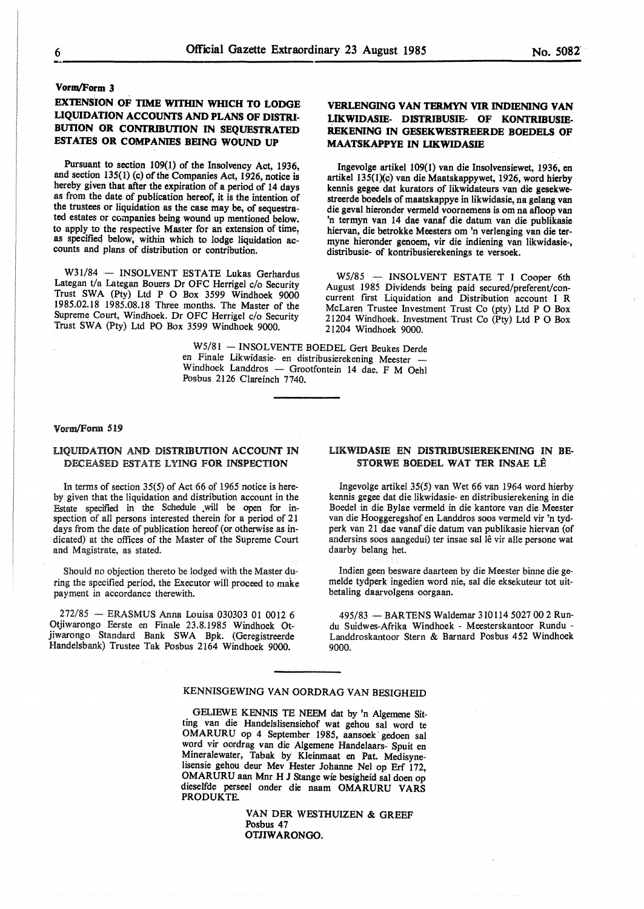# **EXTENSION OF TIME WITHIN WIUCH TO LODGE LIQUIDATION ACCOUNTS AND PLANS OF DISTRI-BUTION OR CONTRIBUTION IN SEQUESTRATED ESTATES OR COMPANIES BEING WOUND UP**

Pursuant to section 109(1) of the Insolvency Act, 1936, and section 135(1) (c) of the Companies Act, 1926, notice is hereby given that after the expiration of a period of 14 days as from the date of publication hereof, it is the intention of the trustees or liquidation as the case may be, of sequestrated estates or companies being wound up mentioned below. to apply to the respective Master for an extension of time, as specified below, within which to lodge liquidation accounts and plans of distribution or contribution.

W31/84 - INSOLVENT ESTATE Lukas Gerhardus Lategan t/a Lategan Bouers Dr OFC Herrigel c/o Security Trust SWA (Pty) Ltd P O Box 3599 Windhoek 9000 1985.02.18 1985.08.18 Three months. The Master of the Supreme Court, Windhoek. Dr OFC Herrigel c/o Security Trust SWA (Pty) Ltd PO Box 3599 Windhoek 9000.

# **VERLENGING VAN TERMYN VIR INDIBNING VAN LIKWIDASIE- DISTRIBUSIE- OF KONTRIBUSIE-REKENING IN GESEKWESTREERDE BOEDELS OF MAATSKAPPYE** IN **LIKWIDASIE**

lngevolge artikel 109(1) van die Insolvensiewet, 1936, en artikel 135(1)(c) van die Maatskappywet, 1926, word hierby kennis gegee dat kurators of likwidateurs van die gesekwestreerde boedels of maatskappye in likwidasie, na gelang van die geval hieronder vermeld voornemens is om na afloop van 'n termyn van 14 dae vanaf die datum van die publikasie hiervan, die betrokke Meesters om 'n verlenging van die termyne hieronder genoem, vir die indiening van likwidasie-, distribusie- of kontribusierekenings te versoek.

W5/85 - INSOLVENT ESTATE T I Cooper 6th August 1985 Dividends being paid secured/preferent/concurrent first Liquidation and Distribution account I R McLaren Trustee Investment Trust Co (pty) Ltd P O Box 21204 Windhoek. Investment Trust Co (Pty) Ltd P O Box 21204 Windhoek 9000.

W5/81 - INSOLVENTE BOEDEL Gert Beukes Derde en Finale Likwidasie- en distribusierekening Meester - Windhoek Landdros - Grootfontein 14 dae. F M Oehl Posbus 2126 Clareinch 7740.

#### Vorm/Form 519

### LIQUIDATION AND **DISTRIBUTION ACCOUNT IN**  DECEASED ESTATE LYING **FOR INSPECTION**

In terms of section 35(5) of Act 66 of 1965 notice is hereby given that the liquidation and distribution account in the Estate specified in the Schedule .will be open for inspection of all persons interested therein for a period of 21 days from the date of publication hereof (or otherwise as indicated) at the offices of the Master of the Supreme Court and Magistrate, as stated.

Should no objection thereto be lodged with the Master during the specified period, the Executor wiil proceed to make payment in accordance therewith.

272/85 - ERASMUS Anna Louisa 030303 01 0012 6 Otjiwarongo Eerste en Finale 23.8.1985 Windhoek Otjiwarongo Standard Bank SWA Bpk. (Geregistreerde Handelsbank) Trustee Tak Posbus 2164 Windhoek 9000.

### LIKWIDASIE EN DISTRIBUSIEREKENING IN BE-STORWE BOEDEL WAT TER INSAE LÊ

Ingevolge artikel 35(5) van Wet 66 van 1964 word hierby kennis gegee dat die likwidasie- en distribusierekening in die Boedel in die Bylae vermeld in die kantore van die Meester van die Hooggeregshof en Landdros soos vermeld vir 'n tydperk van 21 dae vanaf die datum van publikasie hiervan (of andersins soos aangedui) ter insae sal lê vir alle persone wat daarby belang het.

Indien geen besware daarteen by die Meester binne die gemelde tydperk ingedien word nie, sal die eksekuteur tot uitbetaling daarvolgens oorgaan.

495/83 - BARTENS Waldemar 310114 5027 00 2 Rundu Suidwes-Afrika Windhoek - Meesterskantoor Rundu - Landdroskantoor Stern & Barnard Posbus 452 Windhoek 9000.

# KENNISGEWING VAN OORDRAG VAN BESIGHEID

GELIEWE KENNIS TE NEEM dat by 'n Algemene Sitting van die Handelslisensiehof wat gehou sal word te OMARURU op 4 September 1985, aansoek gedoen sal word vir oordrag van die Algemene Handelaars- Spuit en Mineralewater, Tabak by Kleinmaat en Pat. Medisynelisensie gehou deur Mev Hester Johanne Ne! op Erf 172, OMARURU aan Mnr H J Stange wie besigheid sal doen op dieselfde perseel onder die naam OMARURU VARS PRODUKTE.

> VAN DER WESTHUIZEN & GREEF Posbus 47 OTJIWARONGO.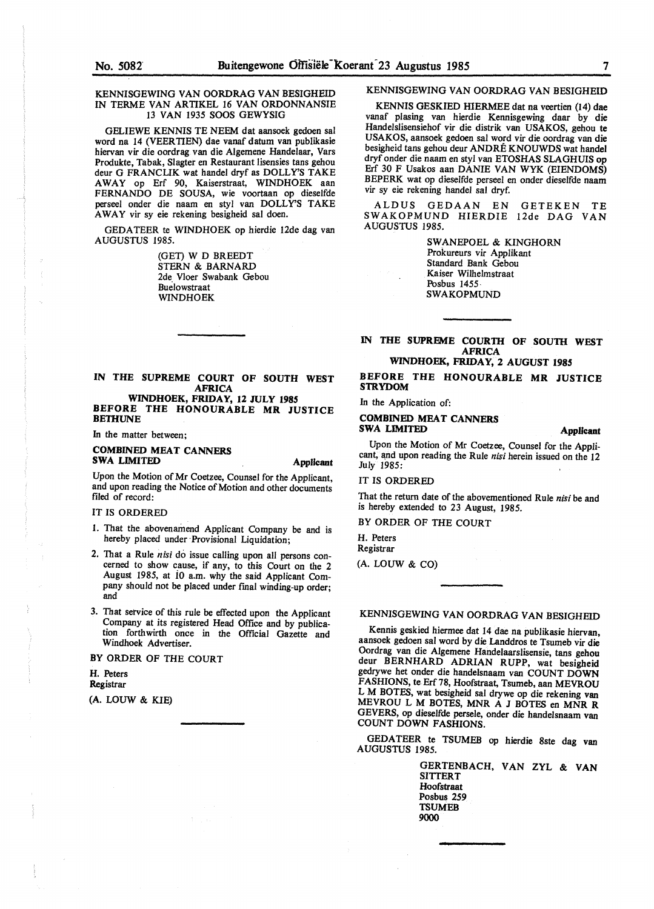### KENNISGEWING VAN OORDRAG VAN BESIGHEID IN TERME VAN ARTIKEL 16 VAN ORDONNANSIE 13 VAN 1935 SOOS GEWYSIG

GELIEWE KENNIS TE NEEM dat aansoek gedoen sal word na 14 (VEER TIEN) dae vanaf datum van publikasie hiervan vir die oordrag van die Algemene Handelaar, Vars Produkte, Tabak, Slagter en Restaurant Iisensies tans gehou deur G FRANCUK wat handel dryf as DOLLY'S TAKE AWAY op Erf 90, Kaiserstraat, WINDHOEK aan FERNANDO DE SOUSA, wie voortaan op dieselfde perseel onder die naam en sty! van DOLLY'S TAKE AWAY vir sy eie rekening besigheid sal doen.

GEDATEER te WINDHOEK op hierdie 12de dag van AUGUSTUS 1985.

> (GET) W D BREEDT STERN & BARNARD 2de Vloer Swabank Gebou Buelowstraat WINDHOEK

**IN THE SUPREME COURT OF SOUTH WEST AFRICA WINDHOEK, FRIDAY, 12 JULY 1985** 

**BEFORE THE HONOURABLE MR JUSTICE BETHUNE** 

In the matter between;

# **COMBINED MEAT CANNERS SWA LIMITED Applicant**

Upon the Motion of Mr Coetzee, Counsel for the Applicant, and upon reading the Notice of Motion and other documents filed of record:

### IT IS ORDERED

- 1. That the abovenamend Applicant Company be and is hereby placed under Provisional Liquidation;
- 2. That a Rule *nisi* do issue calling upon all persons concerned to show cause, if any, to this Court on the 2 August 1985, at io a.m. why the said Applicant Company should not be placed under final winding-up order; and
- 3. That setvice of this rule be effected upon the Applicant Company at its registered Head Office and by publication forthwirth once in the Official Gazette and Windhoek Advertiser.

BY ORDER OF THE COURT

#### **H.** Peters **Registrar**

(A. LOUW & KIE)

# KENNISGEWING VAN OORDRAG VAN BESIGHEID

KENNIS GESKIED HIERMEE dat na veertien (14) dae vanaf plasing van hierdie Kennisgewing daar by die Handelslisensiehof vir die distrik van USAKOS, gehou te USAKOS, aansoek gedoen sal word vir die oordrag van die besigheid tans gehou deur ANDRE KNOUWDS wat handel dryf onder die naam en styl van ETOSHAS SLAGHUIS op Erf 30 F Usakos aan DANIE VAN WYK (EIENDOMS) BEPERK wat op dieselfde perseel en onder dieselfde naam vir sy eie rekening handel sal dryf.

ALDUS GEDAAN EN GETEKEN TE SWAKOPMUND HIERDIE 12de DAG VAN AUGUSTUS 1985.

> SWANEPOEL & KINGHORN Prokureurs vir Applikant Standard Bank Gebou Kaiser Wilhelmstraat Posbus 1455 SWAKOPMUND

### IN THE SUPREME COURTH OF SOUTH WEST **AFRICA**

**WINDHOEK, FRIDAY, 2 AUGUST 1985** 

### **BEFORE THE HONOURABLE MR JUSTICE S1RYDOM**

In the Application of:

# **COMBINED MEAT CANNERS SWA LIMITED Applicant**

Upon the Motion of Mr Coetzee, Counsel for the Applicant, and upon reading the Rule *nisi* herein issued on the 12 July 1985:

### IT IS ORDERED

That the return date of the abovementioned Rule *nisi* be and is hereby extended to 23 August, 1985.

BY ORDER OF THE COURT

H. Peters Registrar

(A. LOUW & CO)

# KENNISGEWING VAN OORDRAG VAN BESIGHEID

Kennis geskied hiermee dat 14 dae na publikasie hiervan, aansoek gedoen sal word by die Landdros te Tsumeb vir die Oordrag van die Algemene Handelaarslisensie, tans gehou deur BERNHARD ADRIAN RUPP, wat besigheid gedrywe het onder die handelsnaam van COUNT DOWN FASHIONS, te Erf 78, Hoofstraat, Tsumeb, aan MEVROU L M BOTES, wat besigheid sal drywe op die rekening van MEVROU L M BOTES, MNR A J BOTES en MNR R GEVERS, op dieselfde persele, onder die handelsnaam van COUNT DOWN FASHIONS.

GEDATEER te TSUMEB op hierdie 8ste dag van<br>AUGUSTUS 1985.

GERTENBACH, VAN ZYL & **VAN SITTERT** Hoofstraat Posbus 259 **TSUMEB** 9000